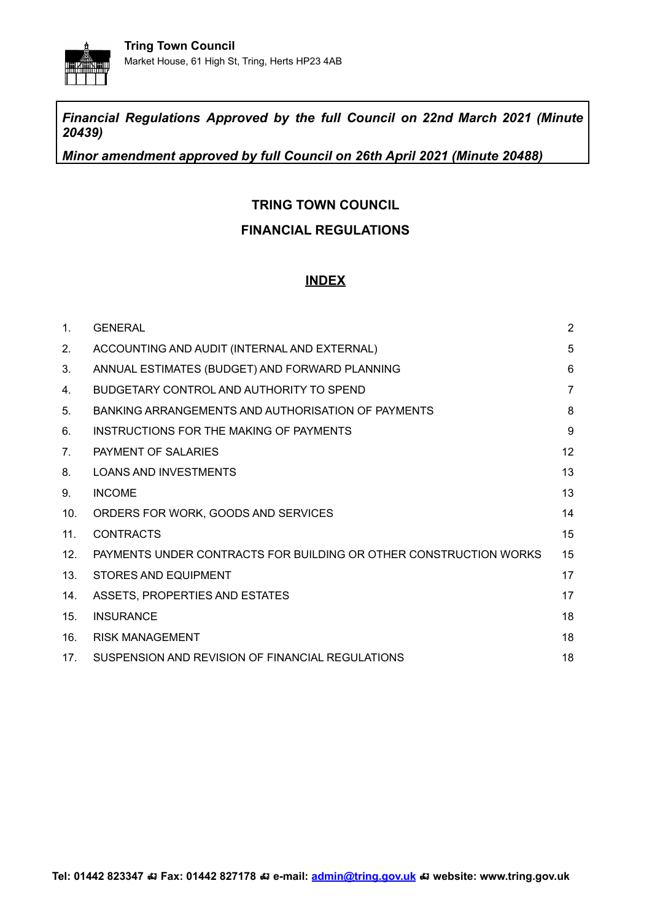

*Financial Regulations Approved by the full Council on 22nd March 2021 (Minute 20439)*

*Minor amendment approved by full Council on 26th April 2021 (Minute 20488)*

### **TRING TOWN COUNCIL**

### **FINANCIAL REGULATIONS**

#### **INDEX**

| 1 <sub>1</sub>  | <b>GENERAL</b>                                                    | $\overline{2}$ |
|-----------------|-------------------------------------------------------------------|----------------|
| 2.              | ACCOUNTING AND AUDIT (INTERNAL AND EXTERNAL)                      | 5              |
| 3.              | ANNUAL ESTIMATES (BUDGET) AND FORWARD PLANNING                    | 6              |
| 4.              | BUDGETARY CONTROL AND AUTHORITY TO SPEND                          | $\overline{7}$ |
| 5.              | BANKING ARRANGEMENTS AND AUTHORISATION OF PAYMENTS                | 8              |
| 6.              | INSTRUCTIONS FOR THE MAKING OF PAYMENTS                           | 9              |
| 7 <sub>1</sub>  | PAYMENT OF SALARIES                                               | 12             |
| 8.              | <b>LOANS AND INVESTMENTS</b>                                      | 13             |
| 9.              | <b>INCOME</b>                                                     | 13             |
| 10.             | ORDERS FOR WORK, GOODS AND SERVICES                               | 14             |
| 11.             | <b>CONTRACTS</b>                                                  | 15             |
| 12.             | PAYMENTS UNDER CONTRACTS FOR BUILDING OR OTHER CONSTRUCTION WORKS | 15             |
| 13.             | STORES AND EQUIPMENT                                              | 17             |
| 14.             | ASSETS, PROPERTIES AND ESTATES                                    | 17             |
| 15.             | <b>INSURANCE</b>                                                  | 18             |
| 16.             | <b>RISK MANAGEMENT</b>                                            | 18             |
| 17 <sub>1</sub> | SUSPENSION AND REVISION OF FINANCIAL REGULATIONS                  | 18             |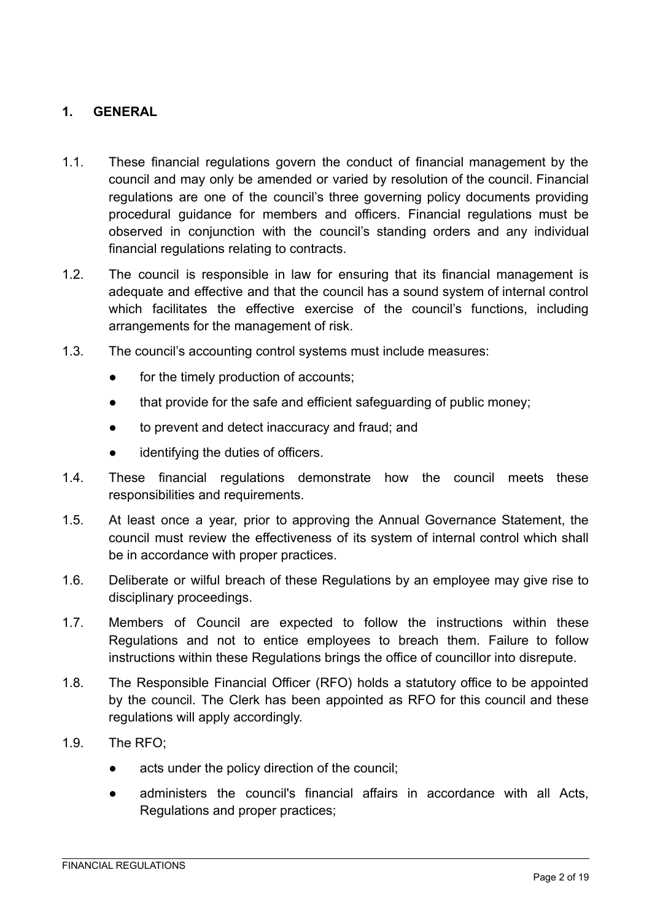### <span id="page-1-0"></span>**1. GENERAL**

- 1.1. These financial regulations govern the conduct of financial management by the council and may only be amended or varied by resolution of the council. Financial regulations are one of the council's three governing policy documents providing procedural guidance for members and officers. Financial regulations must be observed in conjunction with the council's standing orders and any individual financial regulations relating to contracts.
- 1.2. The council is responsible in law for ensuring that its financial management is adequate and effective and that the council has a sound system of internal control which facilitates the effective exercise of the council's functions, including arrangements for the management of risk.
- 1.3. The council's accounting control systems must include measures:
	- for the timely production of accounts;
	- that provide for the safe and efficient safeguarding of public money;
	- to prevent and detect inaccuracy and fraud; and
	- identifying the duties of officers.
- 1.4. These financial regulations demonstrate how the council meets these responsibilities and requirements.
- 1.5. At least once a year, prior to approving the Annual Governance Statement, the council must review the effectiveness of its system of internal control which shall be in accordance with proper practices.
- 1.6. Deliberate or wilful breach of these Regulations by an employee may give rise to disciplinary proceedings.
- 1.7. Members of Council are expected to follow the instructions within these Regulations and not to entice employees to breach them. Failure to follow instructions within these Regulations brings the office of councillor into disrepute.
- 1.8. The Responsible Financial Officer (RFO) holds a statutory office to be appointed by the council. The Clerk has been appointed as RFO for this council and these regulations will apply accordingly.
- 1.9. The RFO;
	- acts under the policy direction of the council;
	- administers the council's financial affairs in accordance with all Acts, Regulations and proper practices;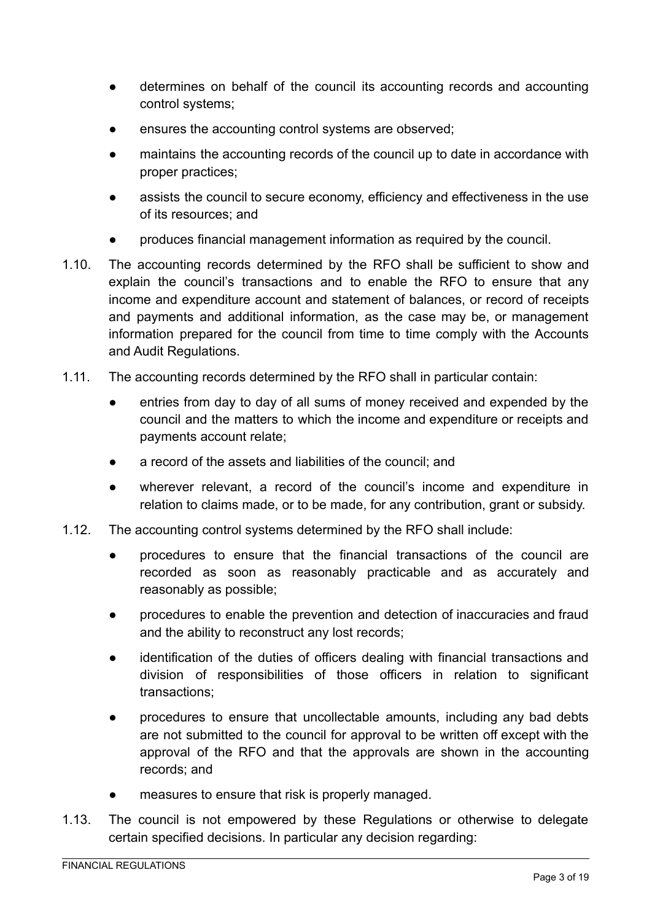- determines on behalf of the council its accounting records and accounting control systems;
- ensures the accounting control systems are observed;
- maintains the accounting records of the council up to date in accordance with proper practices;
- assists the council to secure economy, efficiency and effectiveness in the use of its resources; and
- produces financial management information as required by the council.
- 1.10. The accounting records determined by the RFO shall be sufficient to show and explain the council's transactions and to enable the RFO to ensure that any income and expenditure account and statement of balances, or record of receipts and payments and additional information, as the case may be, or management information prepared for the council from time to time comply with the Accounts and Audit Regulations.
- 1.11. The accounting records determined by the RFO shall in particular contain:
	- entries from day to day of all sums of money received and expended by the council and the matters to which the income and expenditure or receipts and payments account relate;
	- a record of the assets and liabilities of the council; and
	- wherever relevant, a record of the council's income and expenditure in relation to claims made, or to be made, for any contribution, grant or subsidy.
- 1.12. The accounting control systems determined by the RFO shall include:
	- procedures to ensure that the financial transactions of the council are recorded as soon as reasonably practicable and as accurately and reasonably as possible;
	- procedures to enable the prevention and detection of inaccuracies and fraud and the ability to reconstruct any lost records;
	- identification of the duties of officers dealing with financial transactions and division of responsibilities of those officers in relation to significant transactions;
	- procedures to ensure that uncollectable amounts, including any bad debts are not submitted to the council for approval to be written off except with the approval of the RFO and that the approvals are shown in the accounting records; and
	- measures to ensure that risk is properly managed.
- 1.13. The council is not empowered by these Regulations or otherwise to delegate certain specified decisions. In particular any decision regarding: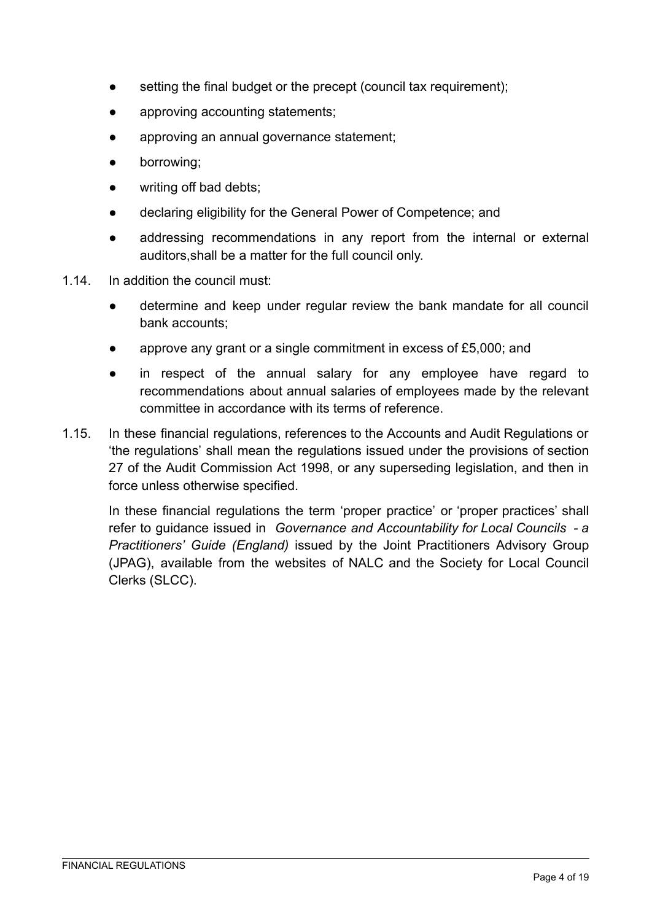- setting the final budget or the precept (council tax requirement);
- approving accounting statements;
- approving an annual governance statement;
- borrowing:
- writing off bad debts;
- declaring eligibility for the General Power of Competence; and
- addressing recommendations in any report from the internal or external auditors,shall be a matter for the full council only.
- 1.14. In addition the council must:
	- determine and keep under regular review the bank mandate for all council bank accounts;
	- approve any grant or a single commitment in excess of £5,000; and
	- in respect of the annual salary for any employee have regard to recommendations about annual salaries of employees made by the relevant committee in accordance with its terms of reference.
- 1.15. In these financial regulations, references to the Accounts and Audit Regulations or 'the regulations' shall mean the regulations issued under the provisions of section 27 of the Audit Commission Act 1998, or any superseding legislation, and then in force unless otherwise specified.

<span id="page-3-0"></span>In these financial regulations the term 'proper practice' or 'proper practices' shall refer to guidance issued in *Governance and Accountability for Local Councils - a Practitioners' Guide (England)* issued by the Joint Practitioners Advisory Group (JPAG), available from the websites of NALC and the Society for Local Council Clerks (SLCC).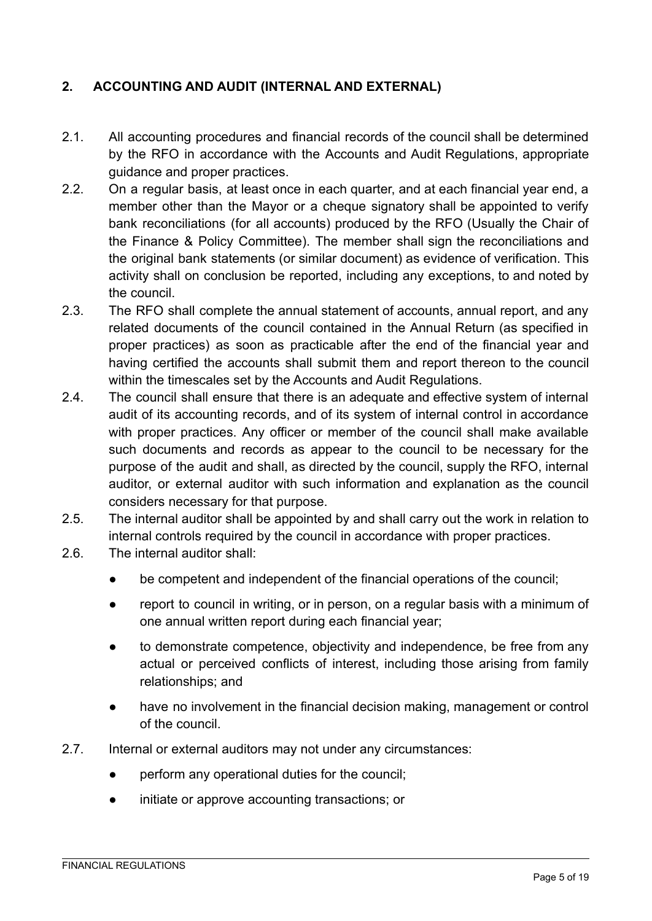# **2. ACCOUNTING AND AUDIT (INTERNAL AND EXTERNAL)**

- 2.1. All accounting procedures and financial records of the council shall be determined by the RFO in accordance with the Accounts and Audit Regulations, appropriate guidance and proper practices.
- 2.2. On a regular basis, at least once in each quarter, and at each financial year end, a member other than the Mayor or a cheque signatory shall be appointed to verify bank reconciliations (for all accounts) produced by the RFO (Usually the Chair of the Finance & Policy Committee). The member shall sign the reconciliations and the original bank statements (or similar document) as evidence of verification. This activity shall on conclusion be reported, including any exceptions, to and noted by the council.
- 2.3. The RFO shall complete the annual statement of accounts, annual report, and any related documents of the council contained in the Annual Return (as specified in proper practices) as soon as practicable after the end of the financial year and having certified the accounts shall submit them and report thereon to the council within the timescales set by the Accounts and Audit Regulations.
- 2.4. The council shall ensure that there is an adequate and effective system of internal audit of its accounting records, and of its system of internal control in accordance with proper practices. Any officer or member of the council shall make available such documents and records as appear to the council to be necessary for the purpose of the audit and shall, as directed by the council, supply the RFO, internal auditor, or external auditor with such information and explanation as the council considers necessary for that purpose.
- 2.5. The internal auditor shall be appointed by and shall carry out the work in relation to internal controls required by the council in accordance with proper practices.
- 2.6. The internal auditor shall:
	- be competent and independent of the financial operations of the council;
	- report to council in writing, or in person, on a regular basis with a minimum of one annual written report during each financial year;
	- to demonstrate competence, objectivity and independence, be free from any actual or perceived conflicts of interest, including those arising from family relationships; and
	- have no involvement in the financial decision making, management or control of the council.
- 2.7. Internal or external auditors may not under any circumstances:
	- perform any operational duties for the council;
	- initiate or approve accounting transactions; or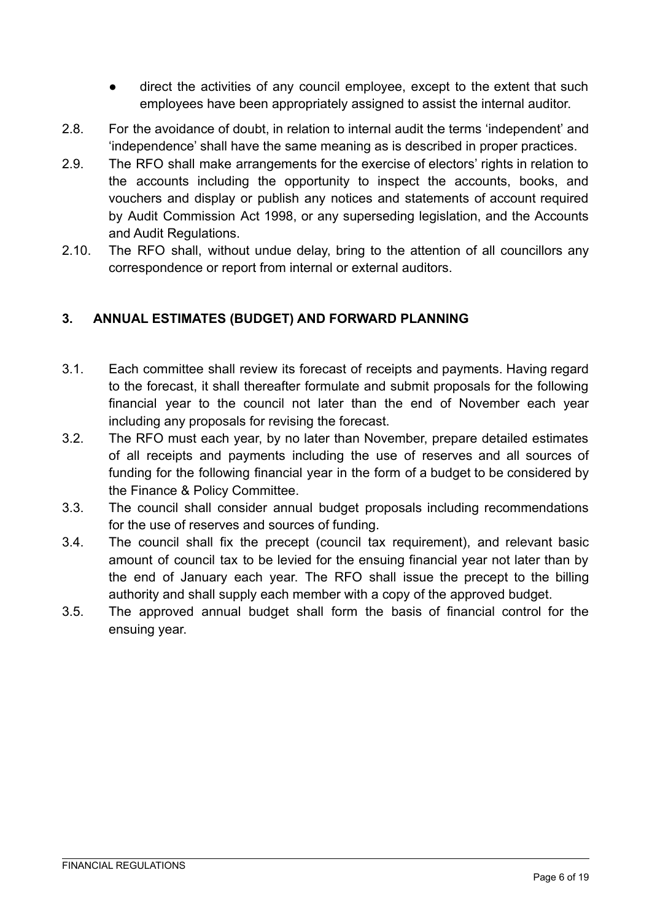- direct the activities of any council employee, except to the extent that such employees have been appropriately assigned to assist the internal auditor.
- 2.8. For the avoidance of doubt, in relation to internal audit the terms 'independent' and 'independence' shall have the same meaning as is described in proper practices.
- 2.9. The RFO shall make arrangements for the exercise of electors' rights in relation to the accounts including the opportunity to inspect the accounts, books, and vouchers and display or publish any notices and statements of account required by Audit Commission Act 1998, or any superseding legislation, and the Accounts and Audit Regulations.
- 2.10. The RFO shall, without undue delay, bring to the attention of all councillors any correspondence or report from internal or external auditors.

# <span id="page-5-0"></span>**3. ANNUAL ESTIMATES (BUDGET) AND FORWARD PLANNING**

- 3.1. Each committee shall review its forecast of receipts and payments. Having regard to the forecast, it shall thereafter formulate and submit proposals for the following financial year to the council not later than the end of November each year including any proposals for revising the forecast.
- 3.2. The RFO must each year, by no later than November, prepare detailed estimates of all receipts and payments including the use of reserves and all sources of funding for the following financial year in the form of a budget to be considered by the Finance & Policy Committee.
- 3.3. The council shall consider annual budget proposals including recommendations for the use of reserves and sources of funding.
- 3.4. The council shall fix the precept (council tax requirement), and relevant basic amount of council tax to be levied for the ensuing financial year not later than by the end of January each year. The RFO shall issue the precept to the billing authority and shall supply each member with a copy of the approved budget.
- <span id="page-5-1"></span>3.5. The approved annual budget shall form the basis of financial control for the ensuing year.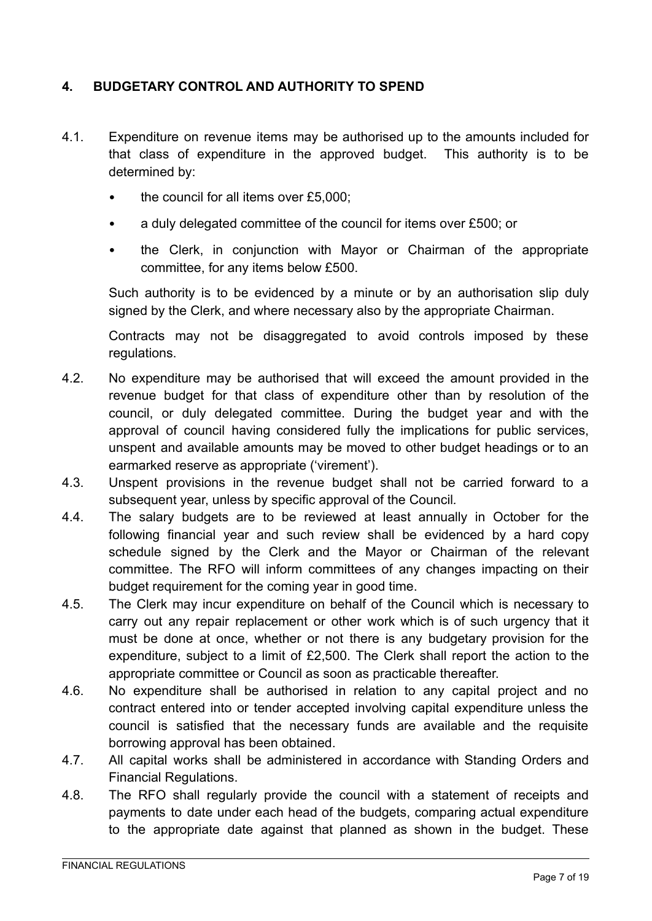### **4. BUDGETARY CONTROL AND AUTHORITY TO SPEND**

- 4.1. Expenditure on revenue items may be authorised up to the amounts included for that class of expenditure in the approved budget. This authority is to be determined by:
	- the council for all items over £5,000;
	- a duly delegated committee of the council for items over £500; or
	- the Clerk, in conjunction with Mayor or Chairman of the appropriate committee, for any items below £500.

Such authority is to be evidenced by a minute or by an authorisation slip duly signed by the Clerk, and where necessary also by the appropriate Chairman.

Contracts may not be disaggregated to avoid controls imposed by these regulations.

- 4.2. No expenditure may be authorised that will exceed the amount provided in the revenue budget for that class of expenditure other than by resolution of the council, or duly delegated committee. During the budget year and with the approval of council having considered fully the implications for public services, unspent and available amounts may be moved to other budget headings or to an earmarked reserve as appropriate ('virement').
- 4.3. Unspent provisions in the revenue budget shall not be carried forward to a subsequent year, unless by specific approval of the Council*.*
- 4.4. The salary budgets are to be reviewed at least annually in October for the following financial year and such review shall be evidenced by a hard copy schedule signed by the Clerk and the Mayor or Chairman of the relevant committee. The RFO will inform committees of any changes impacting on their budget requirement for the coming year in good time.
- 4.5. The Clerk may incur expenditure on behalf of the Council which is necessary to carry out any repair replacement or other work which is of such urgency that it must be done at once, whether or not there is any budgetary provision for the expenditure, subject to a limit of £2,500. The Clerk shall report the action to the appropriate committee or Council as soon as practicable thereafter.
- 4.6. No expenditure shall be authorised in relation to any capital project and no contract entered into or tender accepted involving capital expenditure unless the council is satisfied that the necessary funds are available and the requisite borrowing approval has been obtained.
- 4.7. All capital works shall be administered in accordance with Standing Orders and Financial Regulations.
- 4.8. The RFO shall regularly provide the council with a statement of receipts and payments to date under each head of the budgets, comparing actual expenditure to the appropriate date against that planned as shown in the budget. These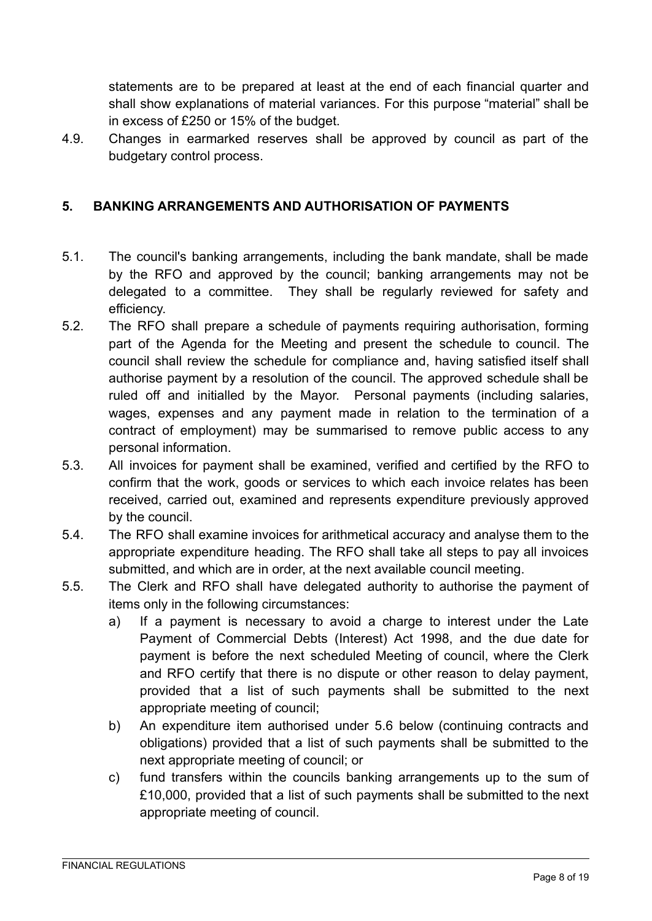statements are to be prepared at least at the end of each financial quarter and shall show explanations of material variances. For this purpose "material" shall be in excess of £250 or 15% of the budget.

4.9. Changes in earmarked reserves shall be approved by council as part of the budgetary control process.

# <span id="page-7-0"></span>**5. BANKING ARRANGEMENTS AND AUTHORISATION OF PAYMENTS**

- 5.1. The council's banking arrangements, including the bank mandate, shall be made by the RFO and approved by the council; banking arrangements may not be delegated to a committee. They shall be regularly reviewed for safety and efficiency.
- 5.2. The RFO shall prepare a schedule of payments requiring authorisation, forming part of the Agenda for the Meeting and present the schedule to council. The council shall review the schedule for compliance and, having satisfied itself shall authorise payment by a resolution of the council. The approved schedule shall be ruled off and initialled by the Mayor. Personal payments (including salaries, wages, expenses and any payment made in relation to the termination of a contract of employment) may be summarised to remove public access to any personal information.
- 5.3. All invoices for payment shall be examined, verified and certified by the RFO to confirm that the work, goods or services to which each invoice relates has been received, carried out, examined and represents expenditure previously approved by the council.
- 5.4. The RFO shall examine invoices for arithmetical accuracy and analyse them to the appropriate expenditure heading. The RFO shall take all steps to pay all invoices submitted, and which are in order, at the next available council meeting.
- 5.5. The Clerk and RFO shall have delegated authority to authorise the payment of items only in the following circumstances:
	- a) If a payment is necessary to avoid a charge to interest under the Late Payment of Commercial Debts (Interest) Act 1998, and the due date for payment is before the next scheduled Meeting of council, where the Clerk and RFO certify that there is no dispute or other reason to delay payment, provided that a list of such payments shall be submitted to the next appropriate meeting of council;
	- b) An expenditure item authorised under 5.6 below (continuing contracts and obligations) provided that a list of such payments shall be submitted to the next appropriate meeting of council; or
	- c) fund transfers within the councils banking arrangements up to the sum of £10,000, provided that a list of such payments shall be submitted to the next appropriate meeting of council.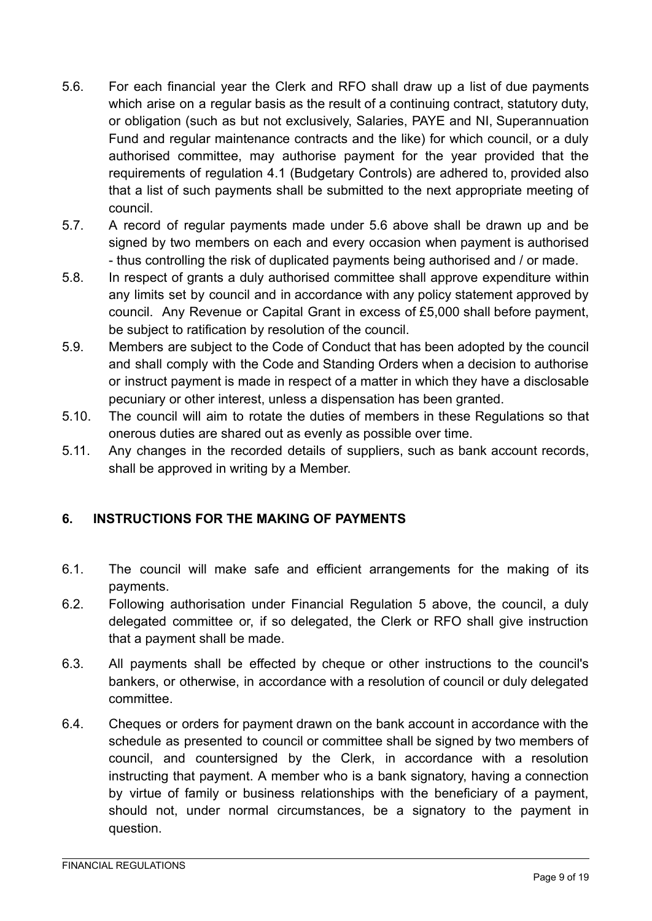- 5.6. For each financial year the Clerk and RFO shall draw up a list of due payments which arise on a regular basis as the result of a continuing contract, statutory duty, or obligation (such as but not exclusively, Salaries, PAYE and NI, Superannuation Fund and regular maintenance contracts and the like) for which council, or a duly authorised committee, may authorise payment for the year provided that the requirements of regulation 4.1 (Budgetary Controls) are adhered to, provided also that a list of such payments shall be submitted to the next appropriate meeting of council.
- 5.7. A record of regular payments made under 5.6 above shall be drawn up and be signed by two members on each and every occasion when payment is authorised - thus controlling the risk of duplicated payments being authorised and / or made.
- 5.8. In respect of grants a duly authorised committee shall approve expenditure within any limits set by council and in accordance with any policy statement approved by council. Any Revenue or Capital Grant in excess of £5,000 shall before payment, be subject to ratification by resolution of the council.
- 5.9. Members are subject to the Code of Conduct that has been adopted by the council and shall comply with the Code and Standing Orders when a decision to authorise or instruct payment is made in respect of a matter in which they have a disclosable pecuniary or other interest, unless a dispensation has been granted.
- 5.10. The council will aim to rotate the duties of members in these Regulations so that onerous duties are shared out as evenly as possible over time.
- 5.11. Any changes in the recorded details of suppliers, such as bank account records, shall be approved in writing by a Member.

# **6. INSTRUCTIONS FOR THE MAKING OF PAYMENTS**

- 6.1. The council will make safe and efficient arrangements for the making of its payments.
- 6.2. Following authorisation under Financial Regulation 5 above, the council, a duly delegated committee or, if so delegated, the Clerk or RFO shall give instruction that a payment shall be made.
- 6.3. All payments shall be effected by cheque or other instructions to the council's bankers, or otherwise, in accordance with a resolution of council or duly delegated committee.
- 6.4. Cheques or orders for payment drawn on the bank account in accordance with the schedule as presented to council or committee shall be signed by two members of council, and countersigned by the Clerk, in accordance with a resolution instructing that payment. A member who is a bank signatory, having a connection by virtue of family or business relationships with the beneficiary of a payment, should not, under normal circumstances, be a signatory to the payment in question.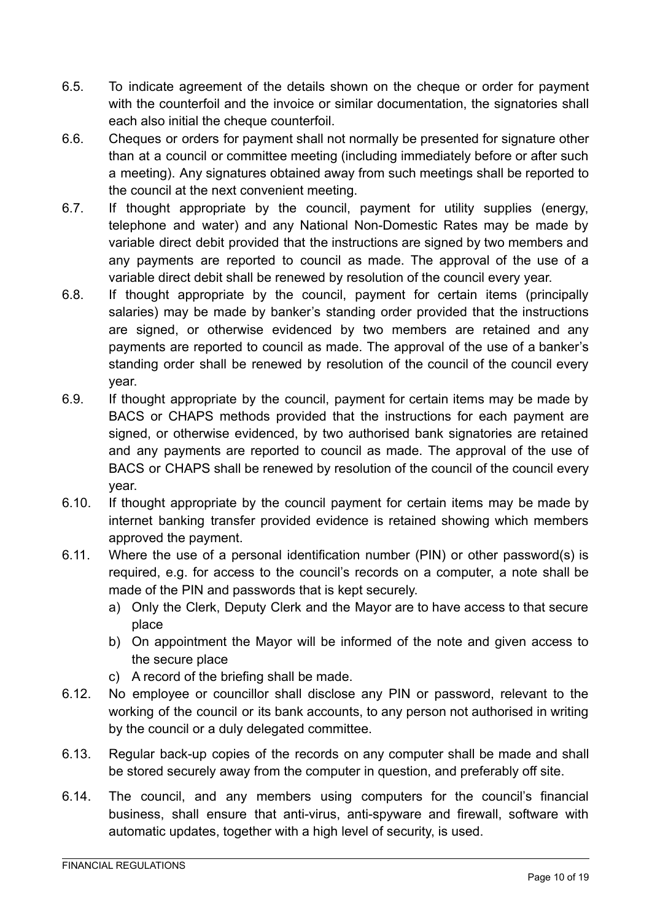- 6.5. To indicate agreement of the details shown on the cheque or order for payment with the counterfoil and the invoice or similar documentation, the signatories shall each also initial the cheque counterfoil.
- 6.6. Cheques or orders for payment shall not normally be presented for signature other than at a council or committee meeting (including immediately before or after such a meeting). Any signatures obtained away from such meetings shall be reported to the council at the next convenient meeting.
- 6.7. If thought appropriate by the council, payment for utility supplies (energy, telephone and water) and any National Non-Domestic Rates may be made by variable direct debit provided that the instructions are signed by two members and any payments are reported to council as made. The approval of the use of a variable direct debit shall be renewed by resolution of the council every year.
- 6.8. If thought appropriate by the council, payment for certain items (principally salaries) may be made by banker's standing order provided that the instructions are signed, or otherwise evidenced by two members are retained and any payments are reported to council as made. The approval of the use of a banker's standing order shall be renewed by resolution of the council of the council every year.
- 6.9. If thought appropriate by the council, payment for certain items may be made by BACS or CHAPS methods provided that the instructions for each payment are signed, or otherwise evidenced, by two authorised bank signatories are retained and any payments are reported to council as made. The approval of the use of BACS or CHAPS shall be renewed by resolution of the council of the council every year.
- 6.10. If thought appropriate by the council payment for certain items may be made by internet banking transfer provided evidence is retained showing which members approved the payment.
- 6.11. Where the use of a personal identification number (PIN) or other password(s) is required, e.g. for access to the council's records on a computer, a note shall be made of the PIN and passwords that is kept securely.
	- a) Only the Clerk, Deputy Clerk and the Mayor are to have access to that secure place
	- b) On appointment the Mayor will be informed of the note and given access to the secure place
	- c) A record of the briefing shall be made.
- 6.12. No employee or councillor shall disclose any PIN or password, relevant to the working of the council or its bank accounts, to any person not authorised in writing by the council or a duly delegated committee.
- 6.13. Regular back-up copies of the records on any computer shall be made and shall be stored securely away from the computer in question, and preferably off site.
- 6.14. The council, and any members using computers for the council's financial business, shall ensure that anti-virus, anti-spyware and firewall, software with automatic updates, together with a high level of security, is used.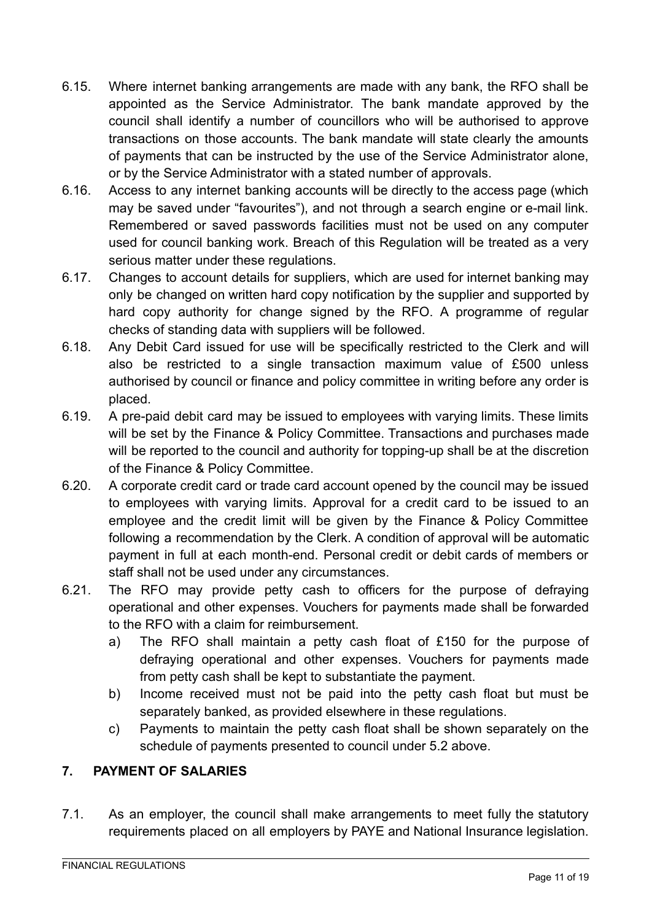- 6.15. Where internet banking arrangements are made with any bank, the RFO shall be appointed as the Service Administrator. The bank mandate approved by the council shall identify a number of councillors who will be authorised to approve transactions on those accounts. The bank mandate will state clearly the amounts of payments that can be instructed by the use of the Service Administrator alone, or by the Service Administrator with a stated number of approvals.
- 6.16. Access to any internet banking accounts will be directly to the access page (which may be saved under "favourites"), and not through a search engine or e-mail link. Remembered or saved passwords facilities must not be used on any computer used for council banking work. Breach of this Regulation will be treated as a very serious matter under these regulations.
- 6.17. Changes to account details for suppliers, which are used for internet banking may only be changed on written hard copy notification by the supplier and supported by hard copy authority for change signed by the RFO. A programme of regular checks of standing data with suppliers will be followed.
- 6.18. Any Debit Card issued for use will be specifically restricted to the Clerk and will also be restricted to a single transaction maximum value of £500 unless authorised by council or finance and policy committee in writing before any order is placed.
- 6.19. A pre-paid debit card may be issued to employees with varying limits. These limits will be set by the Finance & Policy Committee. Transactions and purchases made will be reported to the council and authority for topping-up shall be at the discretion of the Finance & Policy Committee.
- 6.20. A corporate credit card or trade card account opened by the council may be issued to employees with varying limits. Approval for a credit card to be issued to an employee and the credit limit will be given by the Finance & Policy Committee following a recommendation by the Clerk. A condition of approval will be automatic payment in full at each month-end. Personal credit or debit cards of members or staff shall not be used under any circumstances.
- 6.21. The RFO may provide petty cash to officers for the purpose of defraying operational and other expenses. Vouchers for payments made shall be forwarded to the RFO with a claim for reimbursement.
	- a) The RFO shall maintain a petty cash float of £150 for the purpose of defraying operational and other expenses. Vouchers for payments made from petty cash shall be kept to substantiate the payment.
	- b) Income received must not be paid into the petty cash float but must be separately banked, as provided elsewhere in these regulations.
	- c) Payments to maintain the petty cash float shall be shown separately on the schedule of payments presented to council under 5.2 above.

# **7. PAYMENT OF SALARIES**

7.1. As an employer, the council shall make arrangements to meet fully the statutory requirements placed on all employers by PAYE and National Insurance legislation.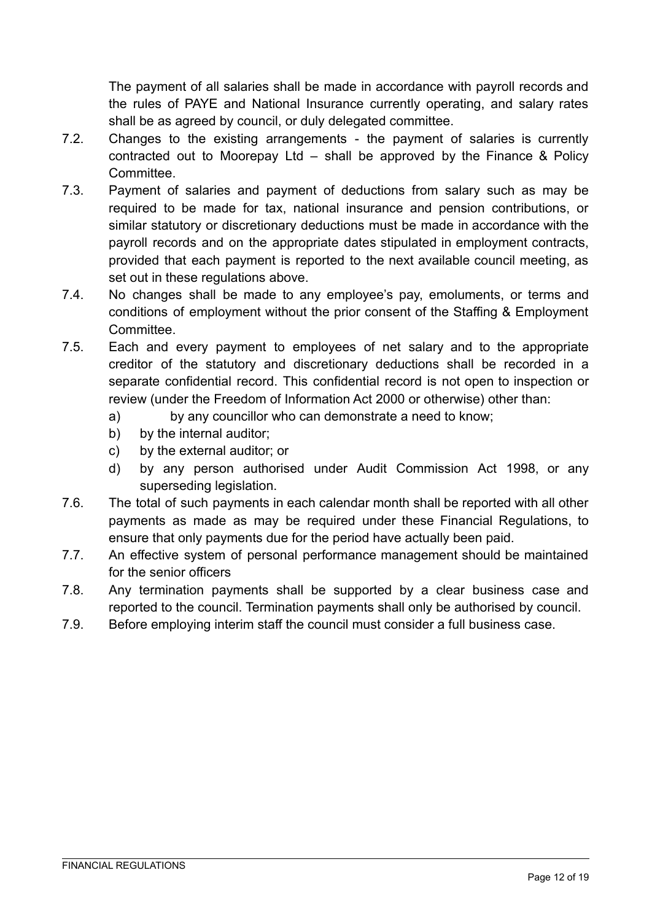The payment of all salaries shall be made in accordance with payroll records and the rules of PAYE and National Insurance currently operating, and salary rates shall be as agreed by council, or duly delegated committee.

- 7.2. Changes to the existing arrangements the payment of salaries is currently contracted out to Moorepay Ltd – shall be approved by the Finance & Policy Committee.
- 7.3. Payment of salaries and payment of deductions from salary such as may be required to be made for tax, national insurance and pension contributions, or similar statutory or discretionary deductions must be made in accordance with the payroll records and on the appropriate dates stipulated in employment contracts, provided that each payment is reported to the next available council meeting, as set out in these regulations above.
- 7.4. No changes shall be made to any employee's pay, emoluments, or terms and conditions of employment without the prior consent of the Staffing & Employment Committee.
- 7.5. Each and every payment to employees of net salary and to the appropriate creditor of the statutory and discretionary deductions shall be recorded in a separate confidential record. This confidential record is not open to inspection or review (under the Freedom of Information Act 2000 or otherwise) other than:
	- a) by any councillor who can demonstrate a need to know;
	- b) by the internal auditor:
	- c) by the external auditor; or
	- d) by any person authorised under Audit Commission Act 1998, or any superseding legislation.
- 7.6. The total of such payments in each calendar month shall be reported with all other payments as made as may be required under these Financial Regulations, to ensure that only payments due for the period have actually been paid.
- 7.7. An effective system of personal performance management should be maintained for the senior officers
- 7.8. Any termination payments shall be supported by a clear business case and reported to the council. Termination payments shall only be authorised by council.
- <span id="page-11-0"></span>7.9. Before employing interim staff the council must consider a full business case.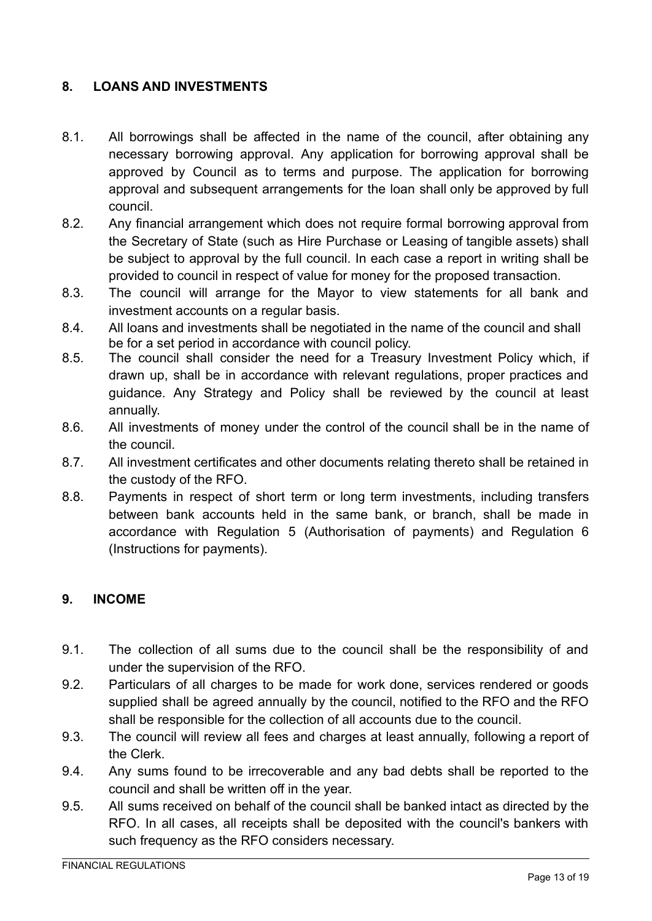### **8. LOANS AND INVESTMENTS**

- 8.1. All borrowings shall be affected in the name of the council, after obtaining any necessary borrowing approval. Any application for borrowing approval shall be approved by Council as to terms and purpose. The application for borrowing approval and subsequent arrangements for the loan shall only be approved by full council.
- 8.2. Any financial arrangement which does not require formal borrowing approval from the Secretary of State (such as Hire Purchase or Leasing of tangible assets) shall be subject to approval by the full council. In each case a report in writing shall be provided to council in respect of value for money for the proposed transaction.
- 8.3. The council will arrange for the Mayor to view statements for all bank and investment accounts on a regular basis.
- 8.4. All loans and investments shall be negotiated in the name of the council and shall be for a set period in accordance with council policy.
- 8.5. The council shall consider the need for a Treasury Investment Policy which, if drawn up, shall be in accordance with relevant regulations, proper practices and guidance. Any Strategy and Policy shall be reviewed by the council at least annually.
- 8.6. All investments of money under the control of the council shall be in the name of the council.
- 8.7. All investment certificates and other documents relating thereto shall be retained in the custody of the RFO.
- 8.8. Payments in respect of short term or long term investments, including transfers between bank accounts held in the same bank, or branch, shall be made in accordance with Regulation 5 (Authorisation of payments) and Regulation 6 (Instructions for payments).

### <span id="page-12-0"></span>**9. INCOME**

- 9.1. The collection of all sums due to the council shall be the responsibility of and under the supervision of the RFO.
- 9.2. Particulars of all charges to be made for work done, services rendered or goods supplied shall be agreed annually by the council, notified to the RFO and the RFO shall be responsible for the collection of all accounts due to the council.
- 9.3. The council will review all fees and charges at least annually, following a report of the Clerk.
- 9.4. Any sums found to be irrecoverable and any bad debts shall be reported to the council and shall be written off in the year.
- 9.5. All sums received on behalf of the council shall be banked intact as directed by the RFO. In all cases, all receipts shall be deposited with the council's bankers with such frequency as the RFO considers necessary.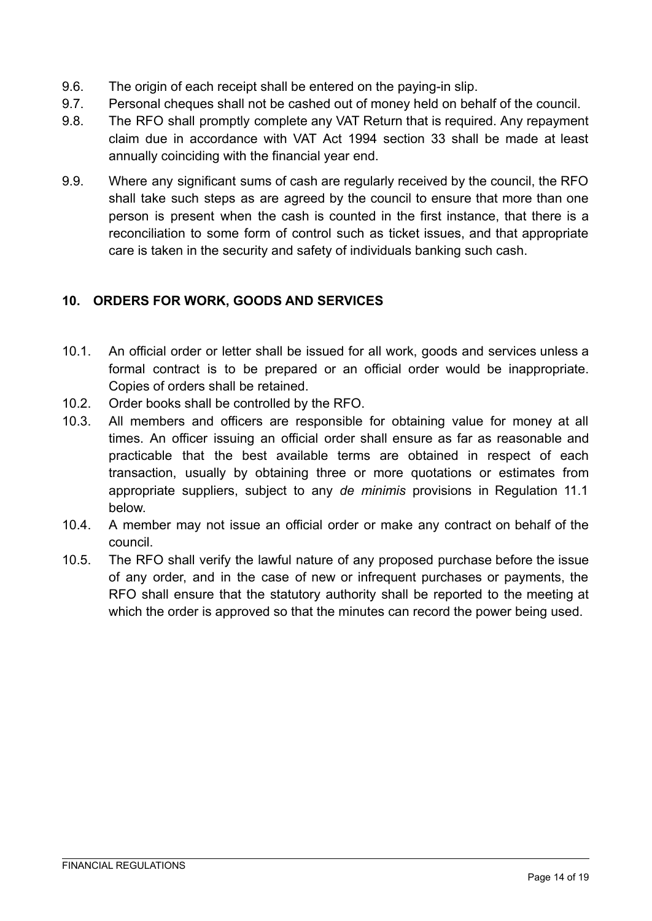- 9.6. The origin of each receipt shall be entered on the paying-in slip.
- 9.7. Personal cheques shall not be cashed out of money held on behalf of the council.
- 9.8. The RFO shall promptly complete any VAT Return that is required. Any repayment claim due in accordance with VAT Act 1994 section 33 shall be made at least annually coinciding with the financial year end.
- 9.9. Where any significant sums of cash are regularly received by the council, the RFO shall take such steps as are agreed by the council to ensure that more than one person is present when the cash is counted in the first instance, that there is a reconciliation to some form of control such as ticket issues, and that appropriate care is taken in the security and safety of individuals banking such cash.

# <span id="page-13-0"></span>**10. ORDERS FOR WORK, GOODS AND SERVICES**

- 10.1. An official order or letter shall be issued for all work, goods and services unless a formal contract is to be prepared or an official order would be inappropriate. Copies of orders shall be retained.
- 10.2. Order books shall be controlled by the RFO.
- 10.3. All members and officers are responsible for obtaining value for money at all times. An officer issuing an official order shall ensure as far as reasonable and practicable that the best available terms are obtained in respect of each transaction, usually by obtaining three or more quotations or estimates from appropriate suppliers, subject to any *de minimis* provisions in Regulation 11.1 below.
- 10.4. A member may not issue an official order or make any contract on behalf of the council.
- <span id="page-13-1"></span>10.5. The RFO shall verify the lawful nature of any proposed purchase before the issue of any order, and in the case of new or infrequent purchases or payments, the RFO shall ensure that the statutory authority shall be reported to the meeting at which the order is approved so that the minutes can record the power being used.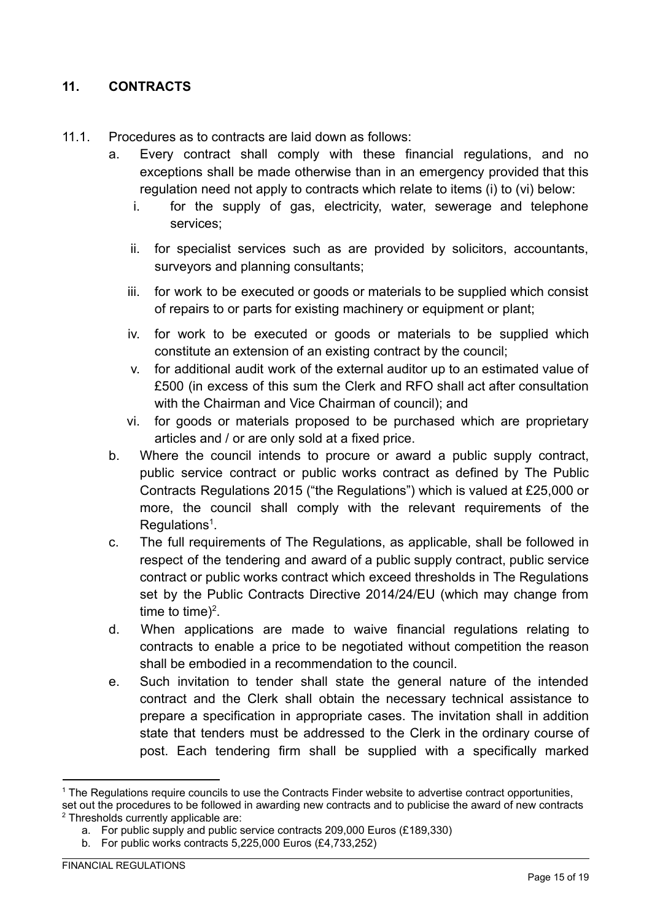### **11. CONTRACTS**

- 11.1. Procedures as to contracts are laid down as follows:
	- a. Every contract shall comply with these financial regulations, and no exceptions shall be made otherwise than in an emergency provided that this regulation need not apply to contracts which relate to items (i) to (vi) below:
		- i. for the supply of gas, electricity, water, sewerage and telephone services;
		- ii. for specialist services such as are provided by solicitors, accountants, surveyors and planning consultants;
		- iii. for work to be executed or goods or materials to be supplied which consist of repairs to or parts for existing machinery or equipment or plant;
		- iv. for work to be executed or goods or materials to be supplied which constitute an extension of an existing contract by the council;
		- v. for additional audit work of the external auditor up to an estimated value of £500 (in excess of this sum the Clerk and RFO shall act after consultation with the Chairman and Vice Chairman of council); and
		- vi. for goods or materials proposed to be purchased which are proprietary articles and / or are only sold at a fixed price.
	- b. Where the council intends to procure or award a public supply contract, public service contract or public works contract as defined by The Public Contracts Regulations 2015 ("the Regulations") which is valued at £25,000 or more, the council shall comply with the relevant requirements of the  $Regulations<sup>1</sup>$ .
	- c. The full requirements of The Regulations, as applicable, shall be followed in respect of the tendering and award of a public supply contract, public service contract or public works contract which exceed thresholds in The Regulations set by the Public Contracts Directive 2014/24/EU (which may change from time to time)<sup>2</sup>.
	- d. When applications are made to waive financial regulations relating to contracts to enable a price to be negotiated without competition the reason shall be embodied in a recommendation to the council.
	- e. Such invitation to tender shall state the general nature of the intended contract and the Clerk shall obtain the necessary technical assistance to prepare a specification in appropriate cases. The invitation shall in addition state that tenders must be addressed to the Clerk in the ordinary course of post. Each tendering firm shall be supplied with a specifically marked

<sup>&</sup>lt;sup>1</sup> The Regulations require councils to use the Contracts Finder website to advertise contract opportunities,

<sup>2</sup> Thresholds currently applicable are: set out the procedures to be followed in awarding new contracts and to publicise the award of new contracts

a. For public supply and public service contracts 209,000 Euros (£189,330)

b. For public works contracts 5,225,000 Euros (£4,733,252)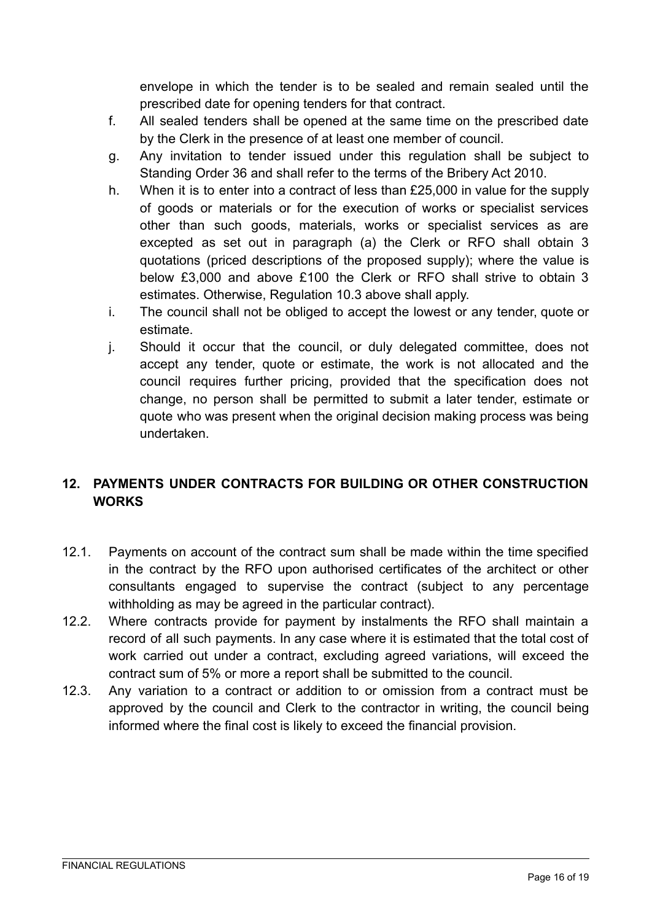envelope in which the tender is to be sealed and remain sealed until the prescribed date for opening tenders for that contract.

- f. All sealed tenders shall be opened at the same time on the prescribed date by the Clerk in the presence of at least one member of council.
- g. Any invitation to tender issued under this regulation shall be subject to Standing Order 36 and shall refer to the terms of the Bribery Act 2010.
- h. When it is to enter into a contract of less than £25,000 in value for the supply of goods or materials or for the execution of works or specialist services other than such goods, materials, works or specialist services as are excepted as set out in paragraph (a) the Clerk or RFO shall obtain 3 quotations (priced descriptions of the proposed supply); where the value is below £3,000 and above £100 the Clerk or RFO shall strive to obtain 3 estimates. Otherwise, Regulation 10.3 above shall apply.
- i. The council shall not be obliged to accept the lowest or any tender, quote or estimate.
- j. Should it occur that the council, or duly delegated committee, does not accept any tender, quote or estimate, the work is not allocated and the council requires further pricing, provided that the specification does not change, no person shall be permitted to submit a later tender, estimate or quote who was present when the original decision making process was being undertaken.

# **12. PAYMENTS UNDER CONTRACTS FOR BUILDING OR OTHER CONSTRUCTION WORKS**

- 12.1. Payments on account of the contract sum shall be made within the time specified in the contract by the RFO upon authorised certificates of the architect or other consultants engaged to supervise the contract (subject to any percentage withholding as may be agreed in the particular contract).
- 12.2. Where contracts provide for payment by instalments the RFO shall maintain a record of all such payments. In any case where it is estimated that the total cost of work carried out under a contract, excluding agreed variations, will exceed the contract sum of 5% or more a report shall be submitted to the council.
- 12.3. Any variation to a contract or addition to or omission from a contract must be approved by the council and Clerk to the contractor in writing, the council being informed where the final cost is likely to exceed the financial provision.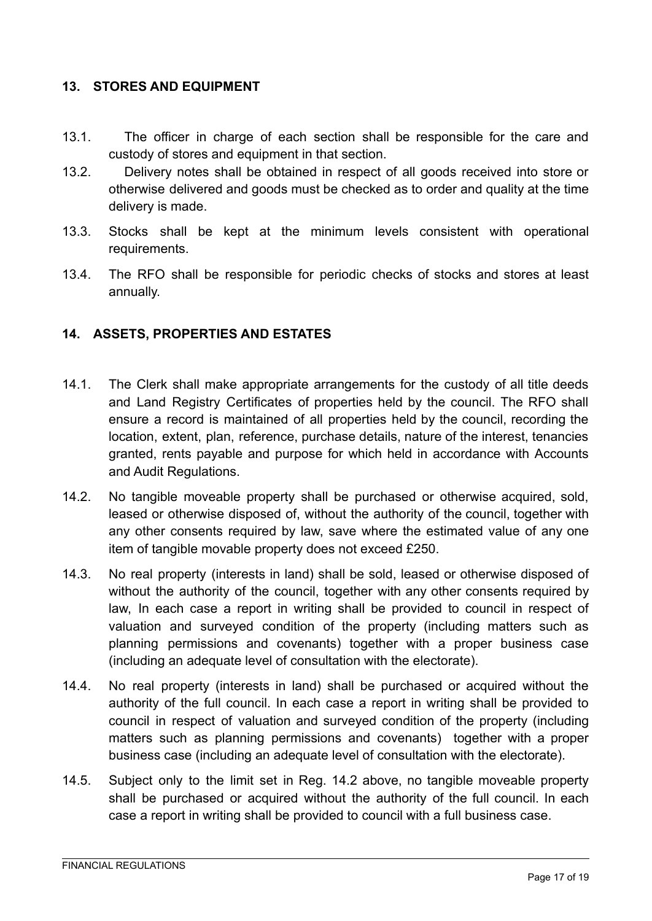### <span id="page-16-0"></span>**13. STORES AND EQUIPMENT**

- 13.1. The officer in charge of each section shall be responsible for the care and custody of stores and equipment in that section.
- 13.2. Delivery notes shall be obtained in respect of all goods received into store or otherwise delivered and goods must be checked as to order and quality at the time delivery is made.
- 13.3. Stocks shall be kept at the minimum levels consistent with operational requirements.
- 13.4. The RFO shall be responsible for periodic checks of stocks and stores at least annually.

### <span id="page-16-1"></span>**14. ASSETS, PROPERTIES AND ESTATES**

- 14.1. The Clerk shall make appropriate arrangements for the custody of all title deeds and Land Registry Certificates of properties held by the council. The RFO shall ensure a record is maintained of all properties held by the council, recording the location, extent, plan, reference, purchase details, nature of the interest, tenancies granted, rents payable and purpose for which held in accordance with Accounts and Audit Regulations.
- 14.2. No tangible moveable property shall be purchased or otherwise acquired, sold, leased or otherwise disposed of, without the authority of the council, together with any other consents required by law, save where the estimated value of any one item of tangible movable property does not exceed £250.
- 14.3. No real property (interests in land) shall be sold, leased or otherwise disposed of without the authority of the council, together with any other consents required by law, In each case a report in writing shall be provided to council in respect of valuation and surveyed condition of the property (including matters such as planning permissions and covenants) together with a proper business case (including an adequate level of consultation with the electorate).
- 14.4. No real property (interests in land) shall be purchased or acquired without the authority of the full council. In each case a report in writing shall be provided to council in respect of valuation and surveyed condition of the property (including matters such as planning permissions and covenants) together with a proper business case (including an adequate level of consultation with the electorate).
- 14.5. Subject only to the limit set in Reg. 14.2 above, no tangible moveable property shall be purchased or acquired without the authority of the full council. In each case a report in writing shall be provided to council with a full business case.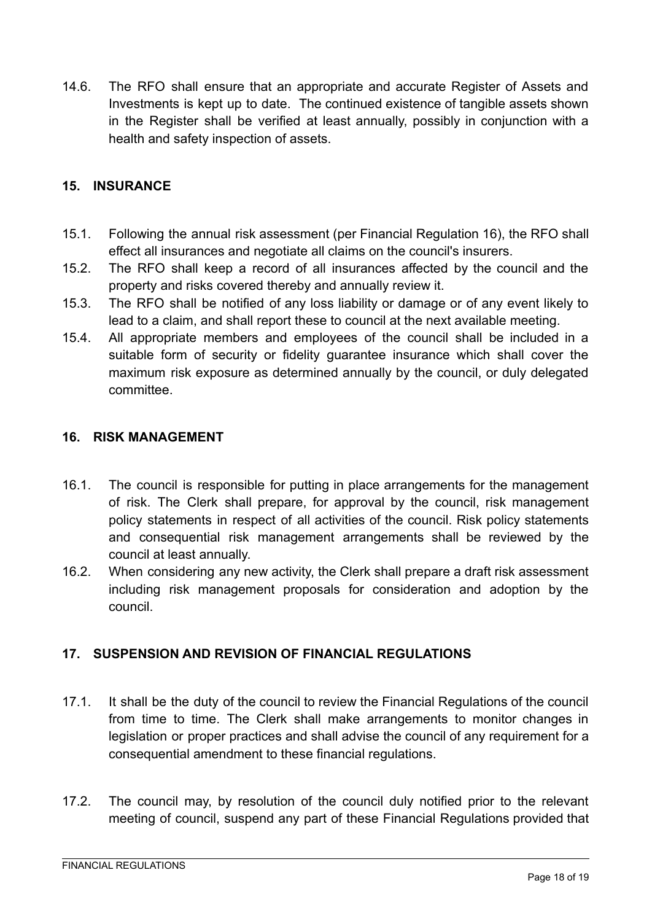14.6. The RFO shall ensure that an appropriate and accurate Register of Assets and Investments is kept up to date. The continued existence of tangible assets shown in the Register shall be verified at least annually, possibly in conjunction with a health and safety inspection of assets.

### <span id="page-17-0"></span>**15. INSURANCE**

- 15.1. Following the annual risk assessment (per Financial Regulation 16), the RFO shall effect all insurances and negotiate all claims on the council's insurers.
- 15.2. The RFO shall keep a record of all insurances affected by the council and the property and risks covered thereby and annually review it.
- 15.3. The RFO shall be notified of any loss liability or damage or of any event likely to lead to a claim, and shall report these to council at the next available meeting.
- 15.4. All appropriate members and employees of the council shall be included in a suitable form of security or fidelity guarantee insurance which shall cover the maximum risk exposure as determined annually by the council, or duly delegated committee.

### <span id="page-17-1"></span>**16. RISK MANAGEMENT**

- 16.1. The council is responsible for putting in place arrangements for the management of risk. The Clerk shall prepare, for approval by the council, risk management policy statements in respect of all activities of the council. Risk policy statements and consequential risk management arrangements shall be reviewed by the council at least annually.
- 16.2. When considering any new activity, the Clerk shall prepare a draft risk assessment including risk management proposals for consideration and adoption by the council.

# <span id="page-17-2"></span>**17. SUSPENSION AND REVISION OF FINANCIAL REGULATIONS**

- 17.1. It shall be the duty of the council to review the Financial Regulations of the council from time to time. The Clerk shall make arrangements to monitor changes in legislation or proper practices and shall advise the council of any requirement for a consequential amendment to these financial regulations.
- 17.2. The council may, by resolution of the council duly notified prior to the relevant meeting of council, suspend any part of these Financial Regulations provided that